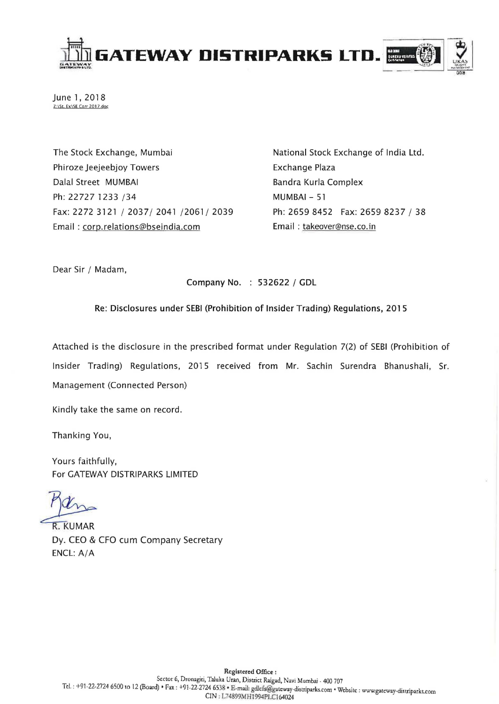

June 1, 2018 Z:\St. Ex\SE Corr 2017.doc

The Stock Exchange, Mumbai Phiroze Jeejeebjoy Towers Dalal Street MUMBAI Ph: 22727 1233 /34 Fax: 2272 3121/2037/2041/2061/2039 Email: corp.relations@bseindia.com

National Stock Exchange of India Ltd. Exchange Plaza Bandra Kurla Complex MUMBAI - 51 Ph: 2659 8452 Fax: 2659 8237 / 38 Email: takeover@nse.co.in

Dear Sir / Madam,

Company No. : 532622 / GDL

Re: Disclosures under SEBI (Prohibition of Insider Trading) Regulations, 2015

Attached is the disclosure in the prescribed format under Regulation 7(2) of SEBI (Prohibition of Insider Trading) Regulations, 2015 received from Mr. Sachin Surendra Bhanushali, Sr. Management (Connected Person)

Kindly take the same on record.

Thanking You,

Yours faithfully, For GATEWAY DISTRIPARKS LIMITED

R. KUMAR<br>Dy. CEO & CFO cum Company Secretary ENCL: A/A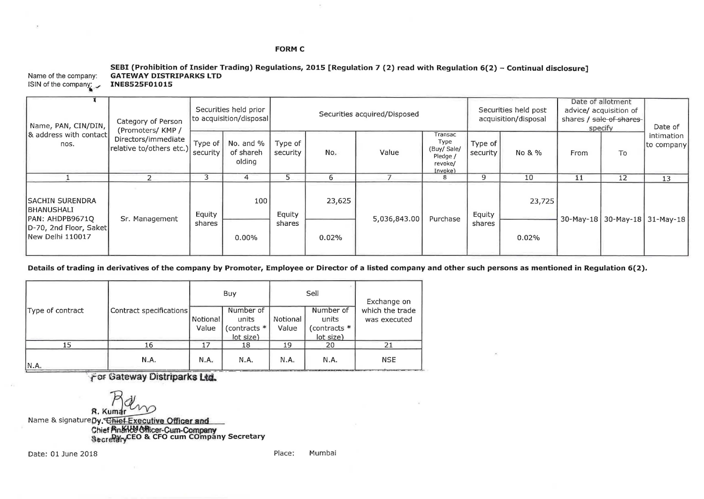## **FORM C**

|                                             | SEBI (Prohibition of Insider Trading) Regulations, 2015 [Regulation 7 (2) read with Regulation 6(2) - Continual disclosure] |
|---------------------------------------------|-----------------------------------------------------------------------------------------------------------------------------|
|                                             | Name of the company: GATEWAY DISTRIPARKS LTD                                                                                |
| ISIN of the company: $\sqrt{INE8525F01015}$ |                                                                                                                             |
|                                             |                                                                                                                             |

 $\bar{p}_1$ 

| Name, PAN, CIN/DIN,<br>8 address with contact<br>nos.                                                   | Category of Person<br>(Promoters/ KMP /<br>Directors/immediate<br>relative to/others etc.) | Securities held prior<br>to acquisition/disposal |                                  | Securities acquired/Disposed |        |              |                                                                  | Securities held post<br>acquisition/disposal |        | Date of allotment<br>advice/ acquisition of<br>shares / sale of shares<br>specify |                               | Date of                  |
|---------------------------------------------------------------------------------------------------------|--------------------------------------------------------------------------------------------|--------------------------------------------------|----------------------------------|------------------------------|--------|--------------|------------------------------------------------------------------|----------------------------------------------|--------|-----------------------------------------------------------------------------------|-------------------------------|--------------------------|
|                                                                                                         |                                                                                            | Type of<br>security                              | No. and %<br>of shareh<br>olding | Type of<br>security          | No.    | Value        | Transac<br>Type<br>(Buy/ Sale/<br>Pledge /<br>revoke/<br>Invoke) | Type of<br>security                          | No & % | From                                                                              | To                            | intimation<br>to company |
|                                                                                                         |                                                                                            | 3                                                |                                  |                              | 6      |              | 8                                                                | 9                                            | 10     | 11                                                                                | 12                            | 13                       |
| <b>ISACHIN SURENDRA</b><br>IBHANUSHALI<br>PAN: AHDPB9671Q<br>D-70, 2nd Floor, Saket<br>New Delhi 110017 | Sr. Management                                                                             | Equity                                           | 100                              | Equity<br>shares             | 23,625 | 5,036,843.00 | Purchase                                                         | Equity<br>shares                             | 23,725 |                                                                                   | 30-May-18 30-May-18 31-May-18 |                          |
|                                                                                                         |                                                                                            | shares                                           | $0.00\%$                         |                              | 0.02%  |              |                                                                  |                                              | 0.02%  |                                                                                   |                               |                          |

**Details of trading in derivatives of the company by Promoter, Employee or Director of a listed company and other such persons as mentioned in Regulation 6(2).** 

|                  |                         |                   | Buy                                             |                   | Sell                                             | Exchange on<br>which the trade<br>was executed |  |
|------------------|-------------------------|-------------------|-------------------------------------------------|-------------------|--------------------------------------------------|------------------------------------------------|--|
| Type of contract | Contract specifications | Notional<br>Value | Number of<br>units<br>(contracts *<br>lot size) | Notional<br>Value | Number of<br>units<br>(contracts *<br>(lot size) |                                                |  |
| 15               | L6                      | 17                | 18                                              | 19                | 20                                               | 21                                             |  |
| IN.A.            | N.A.                    | N.A.              | N.A.                                            | N.A.              | N.A.                                             | <b>NSE</b>                                     |  |

**For Gateway Distriparks Ltd.** 

**R.** Kumar **WA**<br>Name & signature by, Chief Executive Officer and Chief **¤n&\\\&\@\\\**cer-Cum-Company<br>§<sub>®cre</sub>Py<sub>ry</sub>CEO & CFO cum COmpany Secretary

Date: 01 June 2018

Place: Mumbai